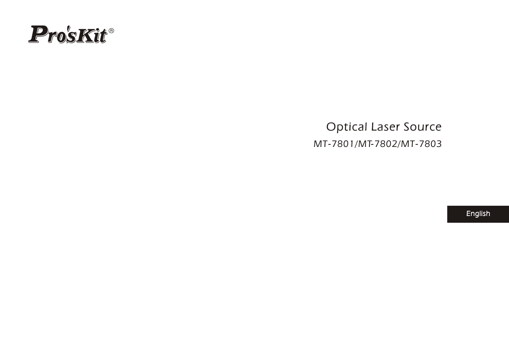

*Optical Laser Source MT-7801/MT-7802/MT-7803*

*English*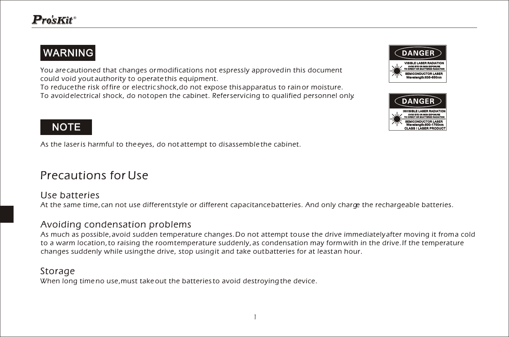## WARNING

*You are cautioned that changes or modifications not espressly approved in this document could void yout authority to operate this equipment.*

*To reduce the risk of fire or electric shock,do not expose this apparatus to rain or moisture. To avoid electrical shock, do not open the cabinet. Refer servicing to qualified personnel only.*





## **NOTE**

*As the laser is harmful to the eyes, do not attempt to disassemble the cabinet.*

## *Precautions for Use*

#### *Use batteries*

*At the same time, can not use different style or different capacitance batteries. And only charge the rechargeable batteries.*

#### *Avoiding condensation problems*

*As much as possible, avoid sudden temperature changes. Do not attempt to use the drive immediately after moving it from a cold*  to a warm location, to raising the room temperature suddenly, as condensation may form with in the drive. If the temperature *changes suddenly while using the drive, stop using it and take out batteries for at least an hour.*

#### *Storage*

*When long time no use,must take out the batteries to avoid destroying the device.*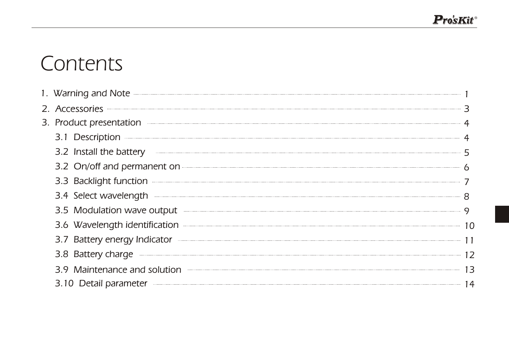# *Contents*

| 1. Warning and Note <b>Commission Commission</b> and Contract and Construction Commission and Construction Construction                                                                                                              |    |
|--------------------------------------------------------------------------------------------------------------------------------------------------------------------------------------------------------------------------------------|----|
| 2. Accessories <b>contract and a series and a series of the series of the series of the series</b> and a series of the series of the series of the series of the series of the series of the series of the series of the series of   |    |
| 3. Product presentation                                                                                                                                                                                                              |    |
|                                                                                                                                                                                                                                      |    |
| 3.2 Install the battery                                                                                                                                                                                                              |    |
| 3.2 On/off and permanent on <b>Constanting Constanting Constanting Constanting Constanting Constanting Constanting Constanting Constanting Constanting Constanting Constanting Constanting Constanting Constanting Constanting C</b> |    |
| 3.3 Backlight function <b>with the contract of the contract of the contract of the contract of the contract of the contract of the contract of the contract of the contract of the contract of the contract of the contract of t</b> |    |
|                                                                                                                                                                                                                                      |    |
| 3.5 Modulation wave output                                                                                                                                                                                                           |    |
| 3.6 Wavelength identification                                                                                                                                                                                                        |    |
| 3.7 Battery energy Indicator <b>Constant Construction</b>                                                                                                                                                                            |    |
| 3.8 Battery charge <b>contract the contract of the contract of the contract of the contract of the contract of the contract of the contract of the contract of the contract of the contract of the contract of the contract of t</b> | 12 |
| 3.9 Maintenance and solution <b>container and solution</b>                                                                                                                                                                           | 13 |
| 3.10 Detail parameter <b>contract of the contract of the contract of the contract of the contract of the contract of the contract of the contract of the contract of the contract of the contract of the contract of the contrac</b> |    |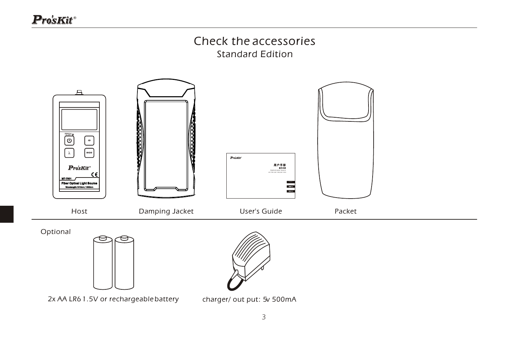# *Check the accessories*

*Standard Edition*



*2x AA LR6 1.5V or rechargeable battery charger/ out put: 5v 500mA*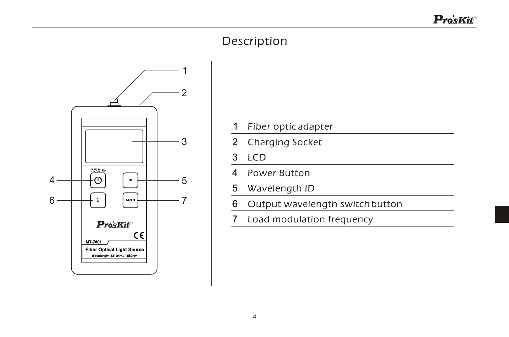## *Description*



- 1
- $\mathfrak{p}$ *Charging Socket*
- 3 *LCD*
- 4 *Power Button*
- 5 *Wavelength ID*
- 6 1 Fiber optic adapter<br>
2 Charging Socket<br>
3 LCD<br>
4 Power Button<br>
5 Wavelength ID<br>
6 Output wavelengt<br>
7 Load modulation fi *Output wavelength switch button*
- 7 *Load modulation frequency*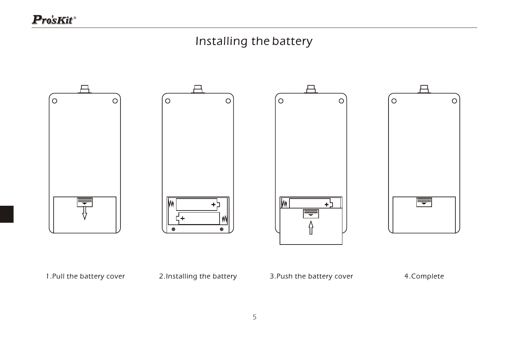## *Installing the battery*

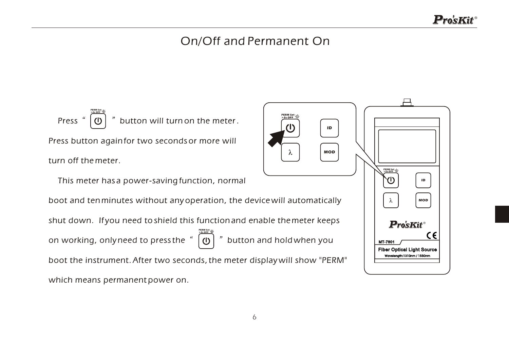#### *On/Off and Permanent On*

*Press*  $\left(\begin{matrix} a & b \\ c & d \end{matrix}\right)^n$  button will turn on the meter . *Press button again for two seconds or more will turn off the meter.* 

 *This meter has a power-saving function, normal* 

*boot and ten minutes without any operation, the device will automatically shut down. If you need to shield this function and enable the meter keeps on working, only need to press the button and hold when you PERM Set >2s OFF boot the instrument. After two seconds, the meter display will show "PERM" which means permanent power on.*

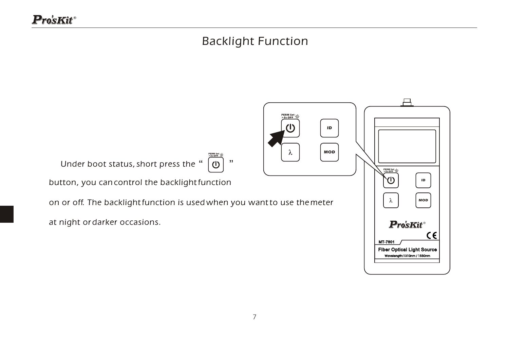## *Backlight Function*

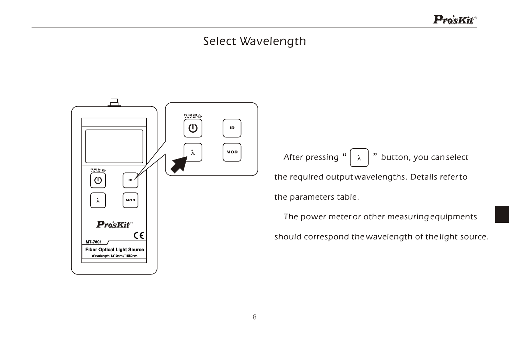#### *Select Wavelength*

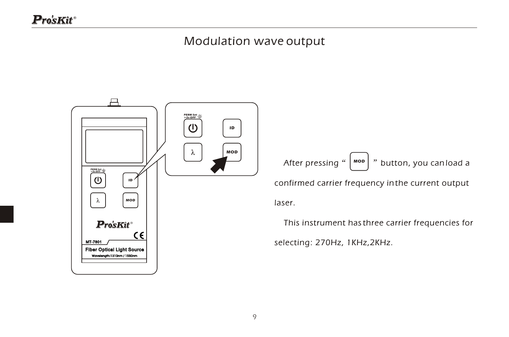#### *Modulation wave output*

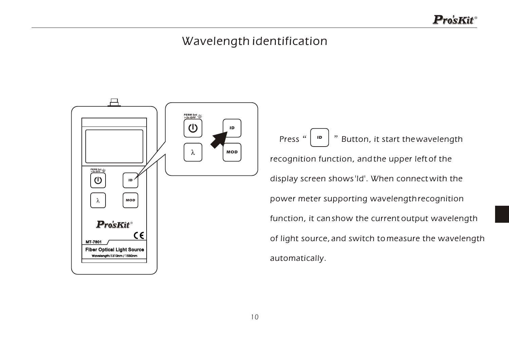#### *Wavelength identification*

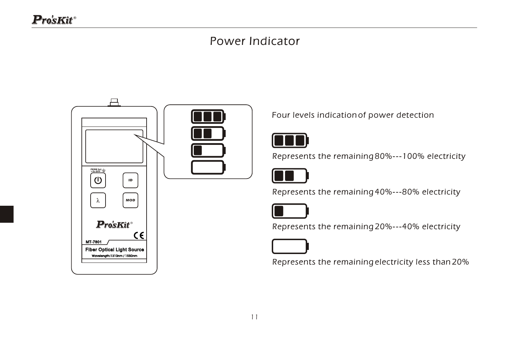#### *Power Indicator*



*Four levels indication of power detection*



*Represents the remaining 80%---100% electricity*



*Represents the remaining 40%---80% electricity*



*Represents the remaining 20%---40% electricity*



*Represents the remaining electricity less than 20%*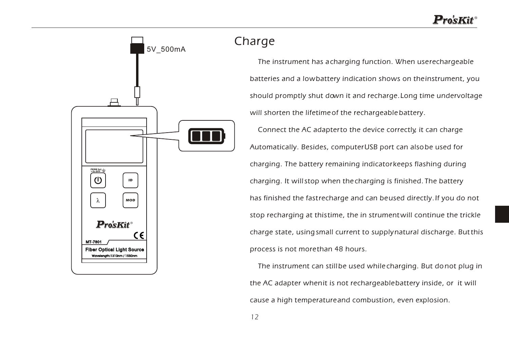

#### *Charge*

 *The instrument has a charging function. When use rechargeable batteries and a low battery indication shows on the instrument, you should promptly shut down it and recharge. Long time undervoltage will shorten the lifetime of the rechargeable battery. Connect the AC adapter to the device correctly, it can charge Automatically. Besides, computer USB port can also be used for charging. The battery remaining indicator keeps flashing during charging. It will stop when the charging is finished. The battery has finished the fast recharge and can be used directly. If you do not stop recharging at this time, the in strument will continue the trickle charge state, using small current to supply natural discharge. But this process is not more than 48 hours.*

 *The instrument can still be used while charging. But do not plug in the AC adapter when it is not rechargeable battery inside, or it will cause a high temperature and combustion, even explosion.*

*12*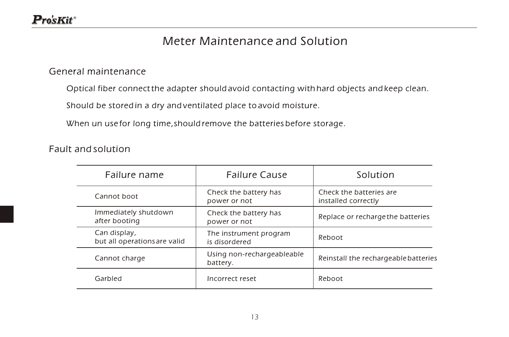#### *Meter Maintenance and Solution*

#### *General maintenance*

*Optical fiber connect the adapter should avoid contacting with hard objects and keep clean.*

*Should be stored in a dry and ventilated place to avoid moisture.*

*When un use for long time,should remove the batteries before storage.*

*Fault and solution*

| Failure name                                 | <b>Failure Cause</b>                    | Solution                                       |
|----------------------------------------------|-----------------------------------------|------------------------------------------------|
| Cannot boot                                  | Check the battery has<br>power or not   | Check the batteries are<br>installed correctly |
| Immediately shutdown<br>after booting        | Check the battery has<br>power or not   | Replace or recharge the batteries              |
| Can display,<br>but all operations are valid | The instrument program<br>is disordered | Reboot                                         |
| Cannot charge                                | Using non-rechargeableable<br>battery.  | Reinstall the rechargeable batteries           |
| Garbled                                      | Incorrect reset                         | Reboot                                         |